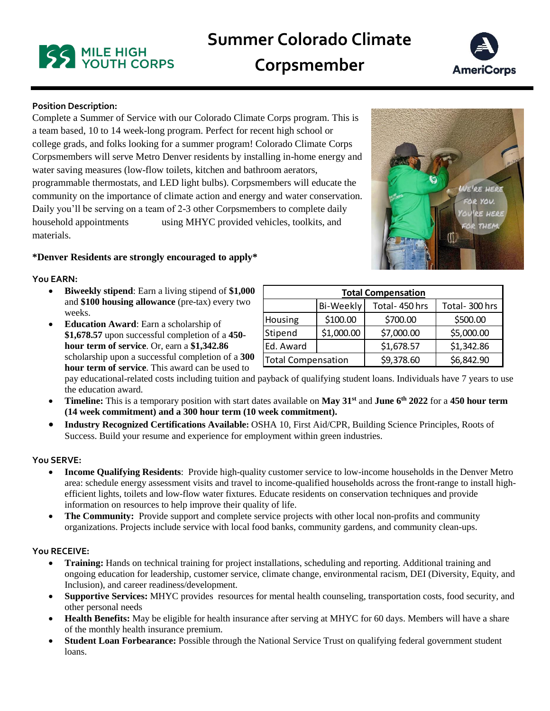# **Summer Colorado Climate**

**Corpsmember**



# **Position Description:**

Complete a Summer of Service with our Colorado Climate Corps program. This is a team based, 10 to 14 week-long program. Perfect for recent high school or college grads, and folks looking for a summer program! Colorado Climate Corps Corpsmembers will serve Metro Denver residents by installing in-home energy and water saving measures (low-flow toilets, kitchen and bathroom aerators, programmable thermostats, and LED light bulbs). Corpsmembers will educate the community on the importance of climate action and energy and water conservation. Daily you'll be serving on a team of 2-3 other Corpsmembers to complete daily household appointments using MHYC provided vehicles, toolkits, and materials.

# **\*Denver Residents are strongly encouraged to apply\***

#### **You EARN:**

- **Biweekly stipend**: Earn a living stipend of **\$1,000** and **\$100 housing allowance** (pre-tax) every two weeks.
- **Education Award**: Earn a scholarship of **\$1,678.57** upon successful completion of a **450 hour term of service**. Or, earn a **\$1,342.86** scholarship upon a successful completion of a **300 hour term of service**. This award can be used to

| <b>Total Compensation</b> |                  |               |               |
|---------------------------|------------------|---------------|---------------|
|                           | <b>Bi-Weekly</b> | Total-450 hrs | Total-300 hrs |
| Housing                   | \$100.00         | \$700.00      | \$500.00      |
| Stipend                   | \$1,000.00       | \$7,000.00    | \$5,000.00    |
| Ed. Award                 |                  | \$1,678.57    | \$1,342.86    |
| <b>Total Compensation</b> |                  | \$9,378.60    | \$6,842.90    |

pay educational-related costs including tuition and payback of qualifying student loans. Individuals have 7 years to use the education award.

- **Timeline:** This is a temporary position with start dates available on **May 31st** and **June 6th 2022** for a **450 hour term (14 week commitment) and a 300 hour term (10 week commitment).**
- **Industry Recognized Certifications Available:** OSHA 10, First Aid/CPR, Building Science Principles, Roots of Success. Build your resume and experience for employment within green industries.

## **You SERVE:**

- **Income Qualifying Residents**: Provide high-quality customer service to low-income households in the Denver Metro area: schedule energy assessment visits and travel to income-qualified households across the front-range to install highefficient lights, toilets and low-flow water fixtures. Educate residents on conservation techniques and provide information on resources to help improve their quality of life.
- The Community: Provide support and complete service projects with other local non-profits and community organizations. Projects include service with local food banks, community gardens, and community clean-ups.

#### **You RECEIVE:**

- **Training:** Hands on technical training for project installations, scheduling and reporting. Additional training and ongoing education for leadership, customer service, climate change, environmental racism, DEI (Diversity, Equity, and Inclusion), and career readiness/development.
- **Supportive Services:** MHYC provides resources for mental health counseling, transportation costs, food security, and other personal needs
- **Health Benefits:** May be eligible for health insurance after serving at MHYC for 60 days. Members will have a share of the monthly health insurance premium.
- **Student Loan Forbearance:** Possible through the National Service Trust on qualifying federal government student loans.